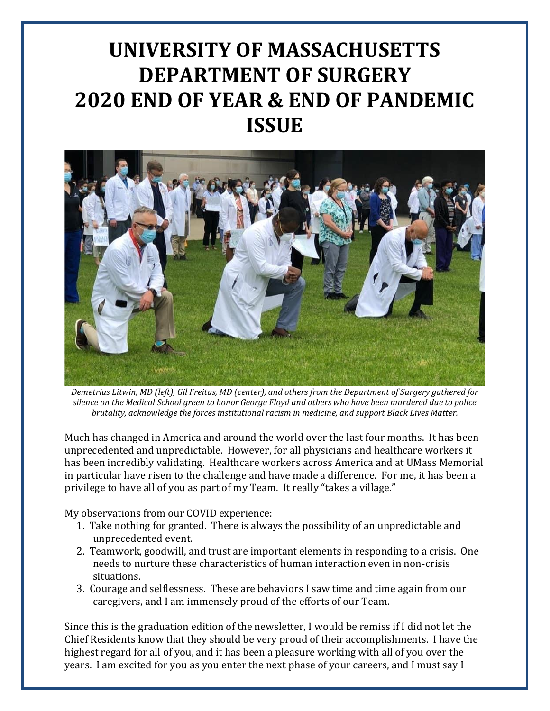# **UNIVERSITY OF MASSACHUSETTS DEPARTMENT OF SURGERY 2020 END OF YEAR & END OF PANDEMIC ISSUE**



*Demetrius Litwin, MD (left), Gil Freitas, MD (center), and others from the Department of Surgery gathered for silence on the Medical School green to honor George Floyd and others who have been murdered due to police brutality, acknowledge the forces institutional racism in medicine, and support Black Lives Matter.* 

Much has changed in America and around the world over the last four months. It has been unprecedented and unpredictable. However, for all physicians and healthcare workers it has been incredibly validating. Healthcare workers across America and at UMass Memorial in particular have risen to the challenge and have made a difference. For me, it has been a privilege to have all of you as part of my Team. It really "takes a village."

My observations from our COVID experience:

- 1. Take nothing for granted. There is always the possibility of an unpredictable and unprecedented event.
- 2. Teamwork, goodwill, and trust are important elements in responding to a crisis. One needs to nurture these characteristics of human interaction even in non-crisis situations.
- 3. Courage and selflessness. These are behaviors I saw time and time again from our caregivers, and I am immensely proud of the efforts of our Team.

Since this is the graduation edition of the newsletter, I would be remiss if I did not let the Chief Residents know that they should be very proud of their accomplishments. I have the highest regard for all of you, and it has been a pleasure working with all of you over the years. I am excited for you as you enter the next phase of your careers, and I must say I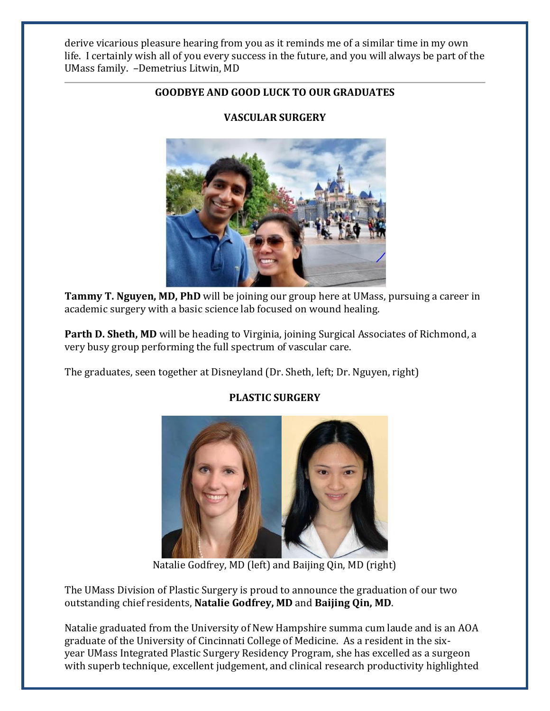derive vicarious pleasure hearing from you as it reminds me of a similar time in my own life. I certainly wish all of you every success in the future, and you will always be part of the UMass family. –Demetrius Litwin, MD

# **GOODBYE AND GOOD LUCK TO OUR GRADUATES**



**VASCULAR SURGERY**

**Tammy T. Nguyen, MD, PhD** will be joining our group here at UMass, pursuing a career in academic surgery with a basic science lab focused on wound healing.

**Parth D. Sheth, MD** will be heading to Virginia, joining Surgical Associates of Richmond, a very busy group performing the full spectrum of vascular care.

The graduates, seen together at Disneyland (Dr. Sheth, left; Dr. Nguyen, right)



# **PLASTIC SURGERY**

Natalie Godfrey, MD (left) and Baijing Qin, MD (right)

The UMass Division of Plastic Surgery is proud to announce the graduation of our two outstanding chief residents, **Natalie Godfrey, MD** and **Baijing Qin, MD**.

Natalie graduated from the University of New Hampshire summa cum laude and is an AOA graduate of the University of Cincinnati College of Medicine. As a resident in the sixyear UMass Integrated Plastic Surgery Residency Program, she has excelled as a surgeon with superb technique, excellent judgement, and clinical research productivity highlighted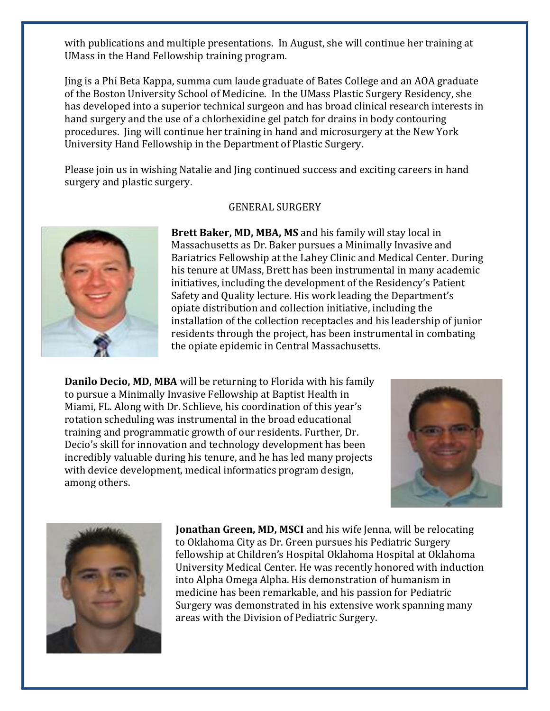with publications and multiple presentations. In August, she will continue her training at UMass in the Hand Fellowship training program.

Jing is a Phi Beta Kappa, summa cum laude graduate of Bates College and an AOA graduate of the Boston University School of Medicine. In the UMass Plastic Surgery Residency, she has developed into a superior technical surgeon and has broad clinical research interests in hand surgery and the use of a chlorhexidine gel patch for drains in body contouring procedures. Jing will continue her training in hand and microsurgery at the New York University Hand Fellowship in the Department of Plastic Surgery.

Please join us in wishing Natalie and Jing continued success and exciting careers in hand surgery and plastic surgery.

#### GENERAL SURGERY



**Brett Baker, MD, MBA, MS** and his family will stay local in Massachusetts as Dr. Baker pursues a Minimally Invasive and Bariatrics Fellowship at the Lahey Clinic and Medical Center. During his tenure at UMass, Brett has been instrumental in many academic initiatives, including the development of the Residency's Patient Safety and Quality lecture. His work leading the Department's opiate distribution and collection initiative, including the installation of the collection receptacles and his leadership of junior residents through the project, has been instrumental in combating the opiate epidemic in Central Massachusetts.

**Danilo Decio, MD, MBA** will be returning to Florida with his family to pursue a Minimally Invasive Fellowship at Baptist Health in Miami, FL. Along with Dr. Schlieve, his coordination of this year's rotation scheduling was instrumental in the broad educational training and programmatic growth of our residents. Further, Dr. Decio's skill for innovation and technology development has been incredibly valuable during his tenure, and he has led many projects with device development, medical informatics program design, among others.





**Jonathan Green, MD, MSCI** and his wife Jenna, will be relocating to Oklahoma City as Dr. Green pursues his Pediatric Surgery fellowship at Children's Hospital Oklahoma Hospital at Oklahoma University Medical Center. He was recently honored with induction into Alpha Omega Alpha. His demonstration of humanism in medicine has been remarkable, and his passion for Pediatric Surgery was demonstrated in his extensive work spanning many areas with the Division of Pediatric Surgery.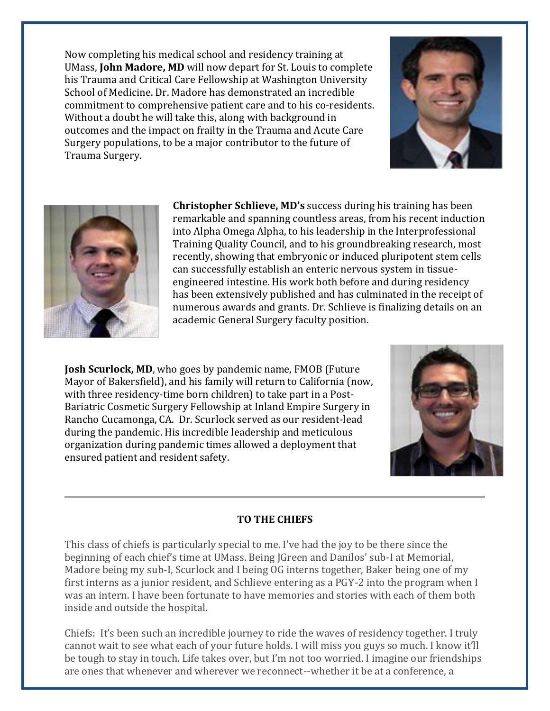Now completing his medical school and residency training at UMass, **John Madore, MD** will now depart for St. Louis to complete his Trauma and Critical Care Fellowship at Washington University School of Medicine. Dr. Madore has demonstrated an incredible commitment to comprehensive patient care and to his co-residents. Without a doubt he will take this, along with background in outcomes and the impact on frailty in the Trauma and Acute Care Surgery populations, to be a major contributor to the future of Trauma Surgery.





**Christopher Schlieve, MD's** success during his training has been remarkable and spanning countless areas, from his recent induction into Alpha Omega Alpha, to his leadership in the Interprofessional Training Quality Council, and to his groundbreaking research, most recently, showing that embryonic or induced pluripotent stem cells can successfully establish an enteric nervous system in tissueengineered intestine. His work both before and during residency has been extensively published and has culminated in the receipt of numerous awards and grants. Dr. Schlieve is finalizing details on an academic General Surgery faculty position.

**Josh Scurlock, MD**, who goes by pandemic name, FMOB (Future Mayor of Bakersfield), and his family will return to California (now, with three residency-time born children) to take part in a Post-Bariatric Cosmetic Surgery Fellowship at Inland Empire Surgery in Rancho Cucamonga, CA. Dr. Scurlock served as our resident-lead during the pandemic. His incredible leadership and meticulous organization during pandemic times allowed a deployment that ensured patient and resident safety.



# **TO THE CHIEFS**

This class of chiefs is particularly special to me. I've had the joy to be there since the beginning of each chief's time at UMass. Being JGreen and Danilos' sub-I at Memorial, Madore being my sub-I, Scurlock and I being OG interns together, Baker being one of my first interns as a junior resident, and Schlieve entering as a PGY-2 into the program when I was an intern. I have been fortunate to have memories and stories with each of them both inside and outside the hospital.

Chiefs: It's been such an incredible journey to ride the waves of residency together. I truly cannot wait to see what each of your future holds. I will miss you guys so much. I know it'll be tough to stay in touch. Life takes over, but I'm not too worried. I imagine our friendships are ones that whenever and wherever we reconnect--whether it be at a conference, a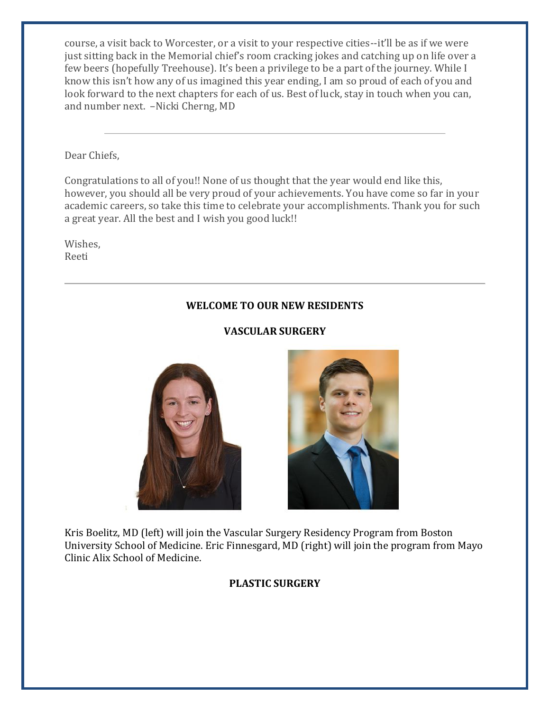course, a visit back to Worcester, or a visit to your respective cities--it'll be as if we were just sitting back in the Memorial chief's room cracking jokes and catching up on life over a few beers (hopefully Treehouse). It's been a privilege to be a part of the journey. While I know this isn't how any of us imagined this year ending, I am so proud of each of you and look forward to the next chapters for each of us. Best of luck, stay in touch when you can, and number next. –Nicki Cherng, MD

Dear Chiefs,

Congratulations to all of you!! None of us thought that the year would end like this, however, you should all be very proud of your achievements. You have come so far in your academic careers, so take this time to celebrate your accomplishments. Thank you for such a great year. All the best and I wish you good luck!!

Wishes, Reeti

# **WELCOME TO OUR NEW RESIDENTS**

# **VASCULAR SURGERY**





Kris Boelitz, MD (left) will join the Vascular Surgery Residency Program from Boston University School of Medicine. Eric Finnesgard, MD (right) will join the program from Mayo Clinic Alix School of Medicine.

#### **PLASTIC SURGERY**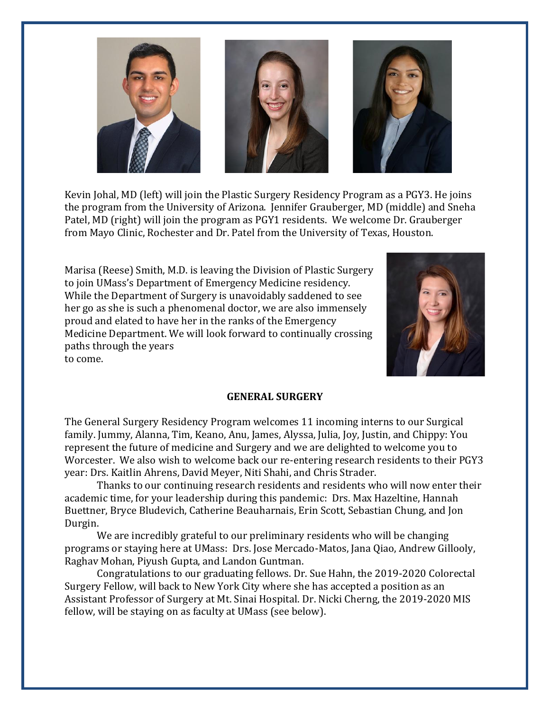

Kevin Johal, MD (left) will join the Plastic Surgery Residency Program as a PGY3. He joins the program from the University of Arizona. Jennifer Grauberger, MD (middle) and Sneha Patel, MD (right) will join the program as PGY1 residents. We welcome Dr. Grauberger from Mayo Clinic, Rochester and Dr. Patel from the University of Texas, Houston.

Marisa (Reese) Smith, M.D. is leaving the Division of Plastic Surgery to join UMass's Department of Emergency Medicine residency. While the Department of Surgery is unavoidably saddened to see her go as she is such a phenomenal doctor, we are also immensely proud and elated to have her in the ranks of the Emergency Medicine Department. We will look forward to continually crossing paths through the years to come.



#### **GENERAL SURGERY**

The General Surgery Residency Program welcomes 11 incoming interns to our Surgical family. Jummy, Alanna, Tim, Keano, Anu, James, Alyssa, Julia, Joy, Justin, and Chippy: You represent the future of medicine and Surgery and we are delighted to welcome you to Worcester. We also wish to welcome back our re-entering research residents to their PGY3 year: Drs. Kaitlin Ahrens, David Meyer, Niti Shahi, and Chris Strader.

Thanks to our continuing research residents and residents who will now enter their academic time, for your leadership during this pandemic: Drs. Max Hazeltine, Hannah Buettner, Bryce Bludevich, Catherine Beauharnais, Erin Scott, Sebastian Chung, and Jon Durgin.

We are incredibly grateful to our preliminary residents who will be changing programs or staying here at UMass: Drs. Jose Mercado-Matos, Jana Qiao, Andrew Gillooly, Raghav Mohan, Piyush Gupta, and Landon Guntman.

Congratulations to our graduating fellows. Dr. Sue Hahn, the 2019-2020 Colorectal Surgery Fellow, will back to New York City where she has accepted a position as an Assistant Professor of Surgery at Mt. Sinai Hospital. Dr. Nicki Cherng, the 2019-2020 MIS fellow, will be staying on as faculty at UMass (see below).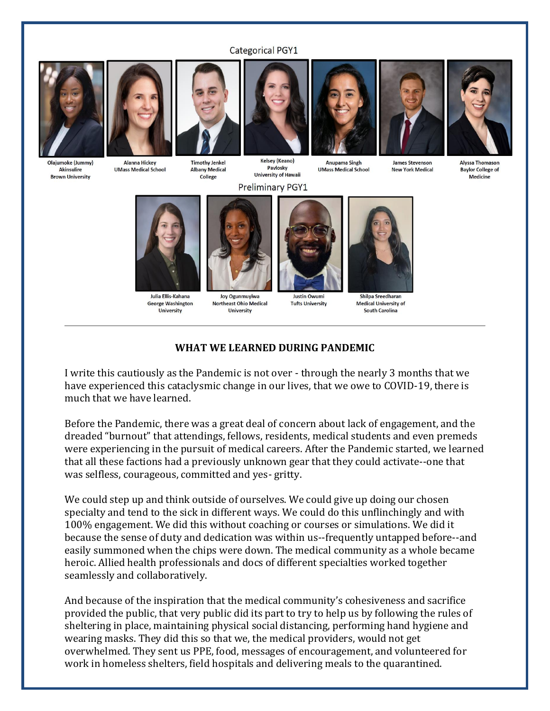#### **Categorical PGY1**



**Akinsulire** 

**Brown University** 



**Alanna Hickey UMass Medical School** 



**Timothy Jenkel** 

**Albany Medical** 

College

**Kelsey (Keano)** Pavlosky **University of Hawaii** 

### **Preliminary PGY1**





Anupama Singh **UMass Medical School** 

**James Stevenson New York Medical**  **Alyssa Thomason Baylor College of** Medicine



Julia Ellis-Kahana **George Washington** University



Joy Ogunmuyiwa **Northeast Ohio Medical University** 



**Tufts University** 



Shilpa Sreedharan **Medical University of South Carolina** 

#### **WHAT WE LEARNED DURING PANDEMIC**

I write this cautiously as the Pandemic is not over - through the nearly 3 months that we have experienced this cataclysmic change in our lives, that we owe to COVID-19, there is much that we have learned.

Before the Pandemic, there was a great deal of concern about lack of engagement, and the dreaded "burnout" that attendings, fellows, residents, medical students and even premeds were experiencing in the pursuit of medical careers. After the Pandemic started, we learned that all these factions had a previously unknown gear that they could activate--one that was selfless, courageous, committed and yes- gritty.

We could step up and think outside of ourselves. We could give up doing our chosen specialty and tend to the sick in different ways. We could do this unflinchingly and with 100% engagement. We did this without coaching or courses or simulations. We did it because the sense of duty and dedication was within us--frequently untapped before--and easily summoned when the chips were down. The medical community as a whole became heroic. Allied health professionals and docs of different specialties worked together seamlessly and collaboratively.

And because of the inspiration that the medical community's cohesiveness and sacrifice provided the public, that very public did its part to try to help us by following the rules of sheltering in place, maintaining physical social distancing, performing hand hygiene and wearing masks. They did this so that we, the medical providers, would not get overwhelmed. They sent us PPE, food, messages of encouragement, and volunteered for work in homeless shelters, field hospitals and delivering meals to the quarantined.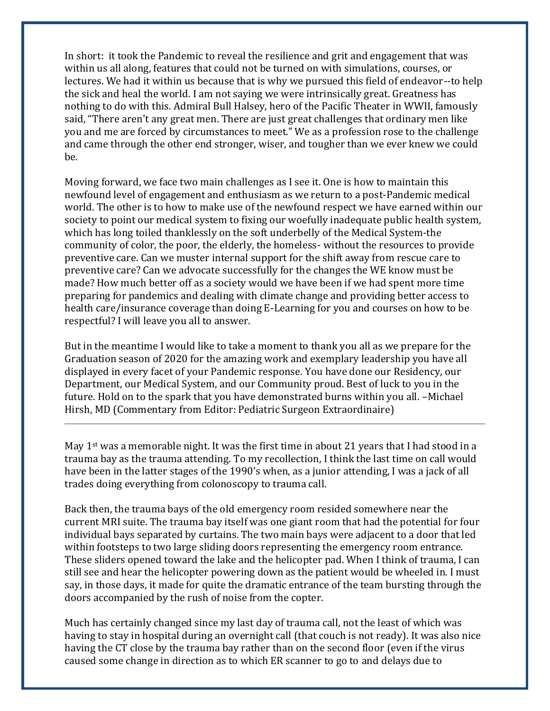In short: it took the Pandemic to reveal the resilience and grit and engagement that was within us all along, features that could not be turned on with simulations, courses, or lectures. We had it within us because that is why we pursued this field of endeavor--to help the sick and heal the world. I am not saying we were intrinsically great. Greatness has nothing to do with this. Admiral Bull Halsey, hero of the Pacific Theater in WWII, famously said, "There aren't any great men. There are just great challenges that ordinary men like you and me are forced by circumstances to meet." We as a profession rose to the challenge and came through the other end stronger, wiser, and tougher than we ever knew we could be.

Moving forward, we face two main challenges as I see it. One is how to maintain this newfound level of engagement and enthusiasm as we return to a post-Pandemic medical world. The other is to how to make use of the newfound respect we have earned within our society to point our medical system to fixing our woefully inadequate public health system, which has long toiled thanklessly on the soft underbelly of the Medical System-the community of color, the poor, the elderly, the homeless- without the resources to provide preventive care. Can we muster internal support for the shift away from rescue care to preventive care? Can we advocate successfully for the changes the WE know must be made? How much better off as a society would we have been if we had spent more time preparing for pandemics and dealing with climate change and providing better access to health care/insurance coverage than doing E-Learning for you and courses on how to be respectful? I will leave you all to answer.

But in the meantime I would like to take a moment to thank you all as we prepare for the Graduation season of 2020 for the amazing work and exemplary leadership you have all displayed in every facet of your Pandemic response. You have done our Residency, our Department, our Medical System, and our Community proud. Best of luck to you in the future. Hold on to the spark that you have demonstrated burns within you all. –Michael Hirsh, MD (Commentary from Editor: Pediatric Surgeon Extraordinaire)

May 1<sup>st</sup> was a memorable night. It was the first time in about 21 years that I had stood in a trauma bay as the trauma attending. To my recollection, I think the last time on call would have been in the latter stages of the 1990's when, as a junior attending, I was a jack of all trades doing everything from colonoscopy to trauma call.

Back then, the trauma bays of the old emergency room resided somewhere near the current MRI suite. The trauma bay itself was one giant room that had the potential for four individual bays separated by curtains. The two main bays were adjacent to a door that led within footsteps to two large sliding doors representing the emergency room entrance. These sliders opened toward the lake and the helicopter pad. When I think of trauma, I can still see and hear the helicopter powering down as the patient would be wheeled in. I must say, in those days, it made for quite the dramatic entrance of the team bursting through the doors accompanied by the rush of noise from the copter.

Much has certainly changed since my last day of trauma call, not the least of which was having to stay in hospital during an overnight call (that couch is not ready). It was also nice having the CT close by the trauma bay rather than on the second floor (even if the virus caused some change in direction as to which ER scanner to go to and delays due to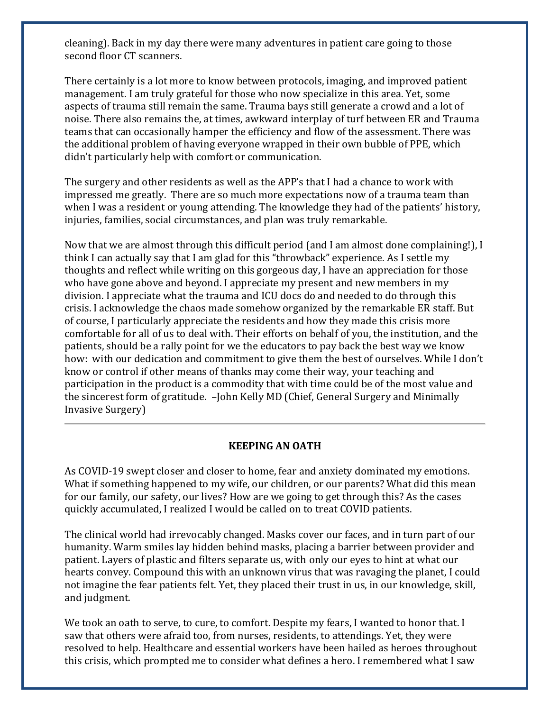cleaning). Back in my day there were many adventures in patient care going to those second floor CT scanners.

There certainly is a lot more to know between protocols, imaging, and improved patient management. I am truly grateful for those who now specialize in this area. Yet, some aspects of trauma still remain the same. Trauma bays still generate a crowd and a lot of noise. There also remains the, at times, awkward interplay of turf between ER and Trauma teams that can occasionally hamper the efficiency and flow of the assessment. There was the additional problem of having everyone wrapped in their own bubble of PPE, which didn't particularly help with comfort or communication.

The surgery and other residents as well as the APP's that I had a chance to work with impressed me greatly. There are so much more expectations now of a trauma team than when I was a resident or young attending. The knowledge they had of the patients' history, injuries, families, social circumstances, and plan was truly remarkable.

Now that we are almost through this difficult period (and I am almost done complaining!), I think I can actually say that I am glad for this "throwback" experience. As I settle my thoughts and reflect while writing on this gorgeous day, I have an appreciation for those who have gone above and beyond. I appreciate my present and new members in my division. I appreciate what the trauma and ICU docs do and needed to do through this crisis. I acknowledge the chaos made somehow organized by the remarkable ER staff. But of course, I particularly appreciate the residents and how they made this crisis more comfortable for all of us to deal with. Their efforts on behalf of you, the institution, and the patients, should be a rally point for we the educators to pay back the best way we know how: with our dedication and commitment to give them the best of ourselves. While I don't know or control if other means of thanks may come their way, your teaching and participation in the product is a commodity that with time could be of the most value and the sincerest form of gratitude. –John Kelly MD (Chief, General Surgery and Minimally Invasive Surgery)

#### **KEEPING AN OATH**

As COVID-19 swept closer and closer to home, fear and anxiety dominated my emotions. What if something happened to my wife, our children, or our parents? What did this mean for our family, our safety, our lives? How are we going to get through this? As the cases quickly accumulated, I realized I would be called on to treat COVID patients.

The clinical world had irrevocably changed. Masks cover our faces, and in turn part of our humanity. Warm smiles lay hidden behind masks, placing a barrier between provider and patient. Layers of plastic and filters separate us, with only our eyes to hint at what our hearts convey. Compound this with an unknown virus that was ravaging the planet, I could not imagine the fear patients felt. Yet, they placed their trust in us, in our knowledge, skill, and judgment.

We took an oath to serve, to cure, to comfort. Despite my fears, I wanted to honor that. I saw that others were afraid too, from nurses, residents, to attendings. Yet, they were resolved to help. Healthcare and essential workers have been hailed as heroes throughout this crisis, which prompted me to consider what defines a hero. I remembered what I saw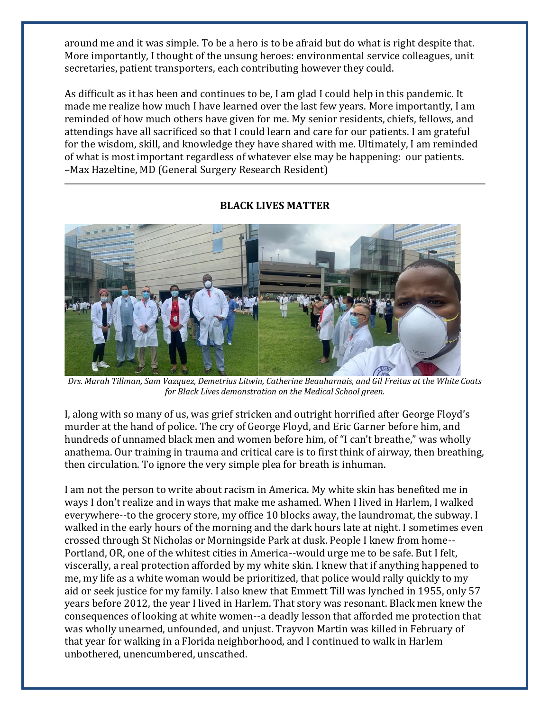around me and it was simple. To be a hero is to be afraid but do what is right despite that. More importantly, I thought of the unsung heroes: environmental service colleagues, unit secretaries, patient transporters, each contributing however they could.

As difficult as it has been and continues to be, I am glad I could help in this pandemic. It made me realize how much I have learned over the last few years. More importantly, I am reminded of how much others have given for me. My senior residents, chiefs, fellows, and attendings have all sacrificed so that I could learn and care for our patients. I am grateful for the wisdom, skill, and knowledge they have shared with me. Ultimately, I am reminded of what is most important regardless of whatever else may be happening: our patients. –Max Hazeltine, MD (General Surgery Research Resident)



# **BLACK LIVES MATTER**

*Drs. Marah Tillman, Sam Vazquez, Demetrius Litwin, Catherine Beauharnais, and Gil Freitas at the White Coats for Black Lives demonstration on the Medical School green.* 

I, along with so many of us, was grief stricken and outright horrified after George Floyd's murder at the hand of police. The cry of George Floyd, and Eric Garner before him, and hundreds of unnamed black men and women before him, of "I can't breathe," was wholly anathema. Our training in trauma and critical care is to first think of airway, then breathing, then circulation. To ignore the very simple plea for breath is inhuman.

I am not the person to write about racism in America. My white skin has benefited me in ways I don't realize and in ways that make me ashamed. When I lived in Harlem, I walked everywhere--to the grocery store, my office 10 blocks away, the laundromat, the subway. I walked in the early hours of the morning and the dark hours late at night. I sometimes even crossed through St Nicholas or Morningside Park at dusk. People I knew from home-- Portland, OR, one of the whitest cities in America--would urge me to be safe. But I felt, viscerally, a real protection afforded by my white skin. I knew that if anything happened to me, my life as a white woman would be prioritized, that police would rally quickly to my aid or seek justice for my family. I also knew that Emmett Till was lynched in 1955, only 57 years before 2012, the year I lived in Harlem. That story was resonant. Black men knew the consequences of looking at white women--a deadly lesson that afforded me protection that was wholly unearned, unfounded, and unjust. Trayvon Martin was killed in February of that year for walking in a Florida neighborhood, and I continued to walk in Harlem unbothered, unencumbered, unscathed.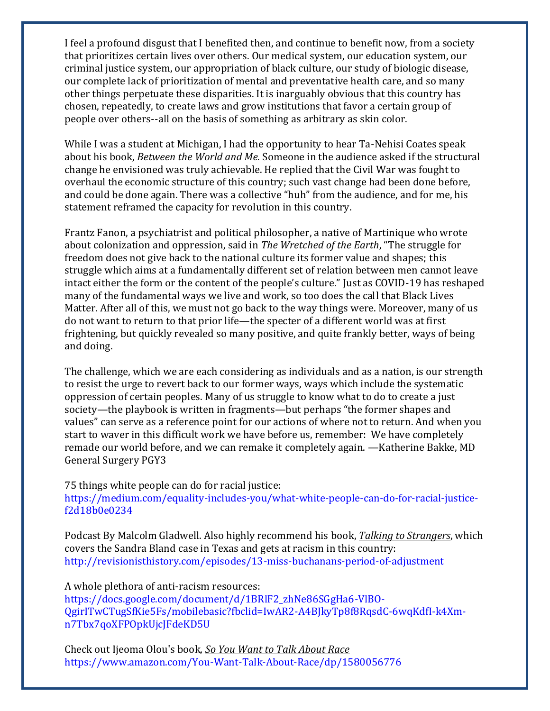I feel a profound disgust that I benefited then, and continue to benefit now, from a society that prioritizes certain lives over others. Our medical system, our education system, our criminal justice system, our appropriation of black culture, our study of biologic disease, our complete lack of prioritization of mental and preventative health care, and so many other things perpetuate these disparities. It is inarguably obvious that this country has chosen, repeatedly, to create laws and grow institutions that favor a certain group of people over others--all on the basis of something as arbitrary as skin color.

While I was a student at Michigan, I had the opportunity to hear Ta-Nehisi Coates speak about his book, *Between the World and Me.* Someone in the audience asked if the structural change he envisioned was truly achievable. He replied that the Civil War was fought to overhaul the economic structure of this country; such vast change had been done before, and could be done again. There was a collective "huh" from the audience, and for me, his statement reframed the capacity for revolution in this country.

Frantz Fanon, a psychiatrist and political philosopher, a native of Martinique who wrote about colonization and oppression, said in *The Wretched of the Earth*, "The struggle for freedom does not give back to the national culture its former value and shapes; this struggle which aims at a fundamentally different set of relation between men cannot leave intact either the form or the content of the people's culture." Just as COVID-19 has reshaped many of the fundamental ways we live and work, so too does the call that Black Lives Matter. After all of this, we must not go back to the way things were. Moreover, many of us do not want to return to that prior life—the specter of a different world was at first frightening, but quickly revealed so many positive, and quite frankly better, ways of being and doing.

The challenge, which we are each considering as individuals and as a nation, is our strength to resist the urge to revert back to our former ways, ways which include the systematic oppression of certain peoples. Many of us struggle to know what to do to create a just society—the playbook is written in fragments—but perhaps "the former shapes and values" can serve as a reference point for our actions of where not to return. And when you start to waver in this difficult work we have before us, remember: We have completely remade our world before, and we can remake it completely again. —Katherine Bakke, MD General Surgery PGY3

75 things white people can do for racial justice:

[https://medium.com/equality-includes-you/what-white-people-can-do-for-racial-justice](https://nam01.safelinks.protection.outlook.com/?url=https%3A%2F%2Fmedium.com%2Fequality-includes-you%2Fwhat-white-people-can-do-for-racial-justice-f2d18b0e0234&data=02%7C01%7C%7Cc6a0717898ec42a4c7e508d808b5a08f%7Cee9155fe2da34378a6c44405faf57b2e%7C0%7C0%7C637268923453923048&sdata=23GP267ivMI76Wz2FgJkL%2BThkutKlzQI1dHaNhEBMJ8%3D&reserved=0)[f2d18b0e0234](https://nam01.safelinks.protection.outlook.com/?url=https%3A%2F%2Fmedium.com%2Fequality-includes-you%2Fwhat-white-people-can-do-for-racial-justice-f2d18b0e0234&data=02%7C01%7C%7Cc6a0717898ec42a4c7e508d808b5a08f%7Cee9155fe2da34378a6c44405faf57b2e%7C0%7C0%7C637268923453923048&sdata=23GP267ivMI76Wz2FgJkL%2BThkutKlzQI1dHaNhEBMJ8%3D&reserved=0)

Podcast By Malcolm Gladwell. Also highly recommend his book, *Talking to Strangers*, which covers the Sandra Bland case in Texas and gets at racism in this country: [http://revisionisthistory.com/episodes/13-miss-buchanans-period-of-adjustment](https://nam01.safelinks.protection.outlook.com/?url=http%3A%2F%2Frevisionisthistory.com%2Fepisodes%2F13-miss-buchanans-period-of-adjustment&data=02%7C01%7C%7Cc6a0717898ec42a4c7e508d808b5a08f%7Cee9155fe2da34378a6c44405faf57b2e%7C0%7C0%7C637268923453923048&sdata=fMtwCNJleY0BCqou%2BtcHgxMVqkiqYOdULXlNjEV6oj4%3D&reserved=0)

A whole plethora of anti-racism resources: [https://docs.google.com/document/d/1BRlF2\\_zhNe86SGgHa6-VlBO-](https://nam01.safelinks.protection.outlook.com/?url=https%3A%2F%2Fdocs.google.com%2Fdocument%2Fd%2F1BRlF2_zhNe86SGgHa6-VlBO-QgirITwCTugSfKie5Fs%2Fmobilebasic%3Ffbclid%3DIwAR2-A4BJkyTp8f8RqsdC-6wqKdfI-k4Xm-n7Tbx7qoXFPOpkUjcJFdeKD5U&data=02%7C01%7C%7Cc6a0717898ec42a4c7e508d808b5a08f%7Cee9155fe2da34378a6c44405faf57b2e%7C0%7C0%7C637268923453933042&sdata=%2BHElw9MWv13MNyQIupDaxsUAZBFRKVCpITfXAi53tLk%3D&reserved=0)[QgirITwCTugSfKie5Fs/mobilebasic?fbclid=IwAR2-A4BJkyTp8f8RqsdC-6wqKdfI-k4Xm](https://nam01.safelinks.protection.outlook.com/?url=https%3A%2F%2Fdocs.google.com%2Fdocument%2Fd%2F1BRlF2_zhNe86SGgHa6-VlBO-QgirITwCTugSfKie5Fs%2Fmobilebasic%3Ffbclid%3DIwAR2-A4BJkyTp8f8RqsdC-6wqKdfI-k4Xm-n7Tbx7qoXFPOpkUjcJFdeKD5U&data=02%7C01%7C%7Cc6a0717898ec42a4c7e508d808b5a08f%7Cee9155fe2da34378a6c44405faf57b2e%7C0%7C0%7C637268923453933042&sdata=%2BHElw9MWv13MNyQIupDaxsUAZBFRKVCpITfXAi53tLk%3D&reserved=0)[n7Tbx7qoXFPOpkUjcJFdeKD5U](https://nam01.safelinks.protection.outlook.com/?url=https%3A%2F%2Fdocs.google.com%2Fdocument%2Fd%2F1BRlF2_zhNe86SGgHa6-VlBO-QgirITwCTugSfKie5Fs%2Fmobilebasic%3Ffbclid%3DIwAR2-A4BJkyTp8f8RqsdC-6wqKdfI-k4Xm-n7Tbx7qoXFPOpkUjcJFdeKD5U&data=02%7C01%7C%7Cc6a0717898ec42a4c7e508d808b5a08f%7Cee9155fe2da34378a6c44405faf57b2e%7C0%7C0%7C637268923453933042&sdata=%2BHElw9MWv13MNyQIupDaxsUAZBFRKVCpITfXAi53tLk%3D&reserved=0)

Check out Ijeoma Olou's book, *So You Want to Talk About Race*  [https://www.amazon.com/You-Want-Talk-About-Race/dp/1580056776](https://nam01.safelinks.protection.outlook.com/?url=https%3A%2F%2Fwww.amazon.com%2FYou-Want-Talk-About-Race%2Fdp%2F1580056776&data=02%7C01%7C%7Cc6a0717898ec42a4c7e508d808b5a08f%7Cee9155fe2da34378a6c44405faf57b2e%7C0%7C0%7C637268923453933042&sdata=gKW7PHquZvR99ZnJsB30EqHdtqDv8UAfzS0iywImZJs%3D&reserved=0)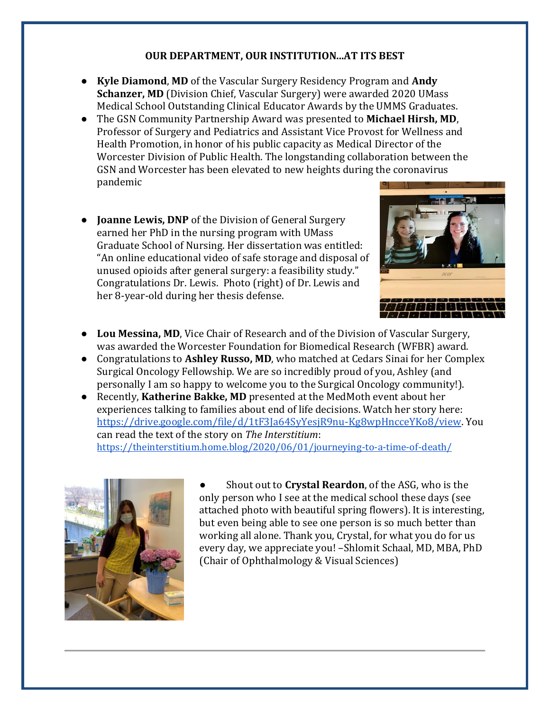# **OUR DEPARTMENT, OUR INSTITUTION...AT ITS BEST**

- **Kyle Diamond**, **MD** of the Vascular Surgery Residency Program and **Andy Schanzer, MD** (Division Chief, Vascular Surgery) were awarded 2020 UMass Medical School Outstanding Clinical Educator Awards by the UMMS Graduates.
- The GSN Community Partnership Award was presented to **Michael Hirsh, MD**, Professor of Surgery and Pediatrics and Assistant Vice Provost for Wellness and Health Promotion, in honor of his public capacity as Medical Director of the Worcester Division of Public Health. The longstanding collaboration between the GSN and Worcester has been elevated to new heights during the coronavirus pandemic
- **Joanne Lewis, DNP** of the Division of General Surgery earned her PhD in the nursing program with UMass Graduate School of Nursing. Her dissertation was entitled: "An online educational video of safe storage and disposal of unused opioids after general surgery: a feasibility study." Congratulations Dr. Lewis. Photo (right) of Dr. Lewis and her 8-year-old during her thesis defense.



- **Lou Messina, MD**, Vice Chair of Research and of the Division of Vascular Surgery, was awarded the Worcester Foundation for Biomedical Research (WFBR) award.
- Congratulations to **Ashley Russo, MD**, who matched at Cedars Sinai for her Complex Surgical Oncology Fellowship. We are so incredibly proud of you, Ashley (and personally I am so happy to welcome you to the Surgical Oncology community!).
- Recently, **Katherine Bakke, MD** presented at the MedMoth event about her experiences talking to families about end of life decisions. Watch her story here: [https://drive.google.com/file/d/1tF3Ja64SyYesjR9nu-Kg8wpHncceYKo8/view.](https://drive.google.com/file/d/1tF3Ja64SyYesjR9nu-Kg8wpHncceYKo8/view) You can read the text of the story on *The Interstitium*: <https://theinterstitium.home.blog/2020/06/01/journeying-to-a-time-of-death/>



Shout out to **Crystal Reardon**, of the ASG, who is the only person who I see at the medical school these days (see attached photo with beautiful spring flowers). It is interesting, but even being able to see one person is so much better than working all alone. Thank you, Crystal, for what you do for us every day, we appreciate you! –Shlomit Schaal, MD, MBA, PhD (Chair of Ophthalmology & Visual Sciences)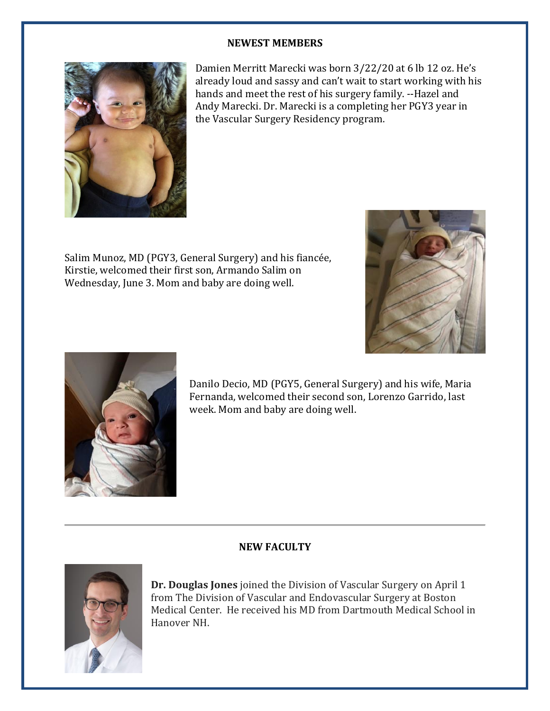#### **NEWEST MEMBERS**



Damien Merritt Marecki was born 3/22/20 at 6 lb 12 oz. He's already loud and sassy and can't wait to start working with his hands and meet the rest of his surgery family. --Hazel and Andy Marecki. Dr. Marecki is a completing her PGY3 year in the Vascular Surgery Residency program.

Salim Munoz, MD (PGY3, General Surgery) and his fiancée, Kirstie, welcomed their first son, Armando Salim on Wednesday, June 3. Mom and baby are doing well.





Danilo Decio, MD (PGY5, General Surgery) and his wife, Maria Fernanda, welcomed their second son, Lorenzo Garrido, last week. Mom and baby are doing well.

# **NEW FACULTY**



**Dr. Douglas Jones** joined the Division of Vascular Surgery on April 1 from The Division of Vascular and Endovascular Surgery at Boston Medical Center. He received his MD from Dartmouth Medical School in Hanover NH.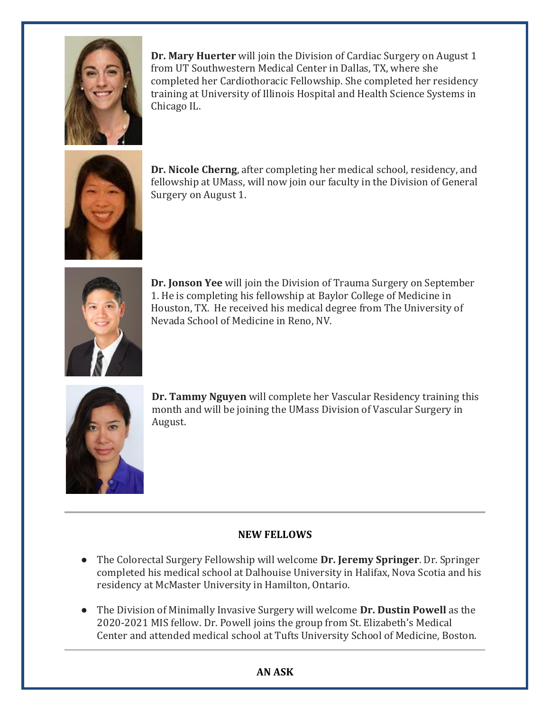

**Dr. Mary Huerter** will join the Division of Cardiac Surgery on August 1 from UT Southwestern Medical Center in Dallas, TX, where she completed her Cardiothoracic Fellowship. She completed her residency training at University of Illinois Hospital and Health Science Systems in Chicago IL.



**Dr. Nicole Cherng**, after completing her medical school, residency, and fellowship at UMass, will now join our faculty in the Division of General Surgery on August 1.



**Dr. Jonson Yee** will join the Division of Trauma Surgery on September 1. He is completing his fellowship at Baylor College of Medicine in Houston, TX. He received his medical degree from The University of Nevada School of Medicine in Reno, NV.



**Dr. Tammy Nguyen** will complete her Vascular Residency training this month and will be joining the UMass Division of Vascular Surgery in August.

# **NEW FELLOWS**

- The Colorectal Surgery Fellowship will welcome **Dr. Jeremy Springer**. Dr. Springer completed his medical school at Dalhouise University in Halifax, Nova Scotia and his residency at McMaster University in Hamilton, Ontario.
- The Division of Minimally Invasive Surgery will welcome **Dr. Dustin Powell** as the 2020-2021 MIS fellow. Dr. Powell joins the group from St. Elizabeth's Medical Center and attended medical school at Tufts University School of Medicine, Boston.

# **AN ASK**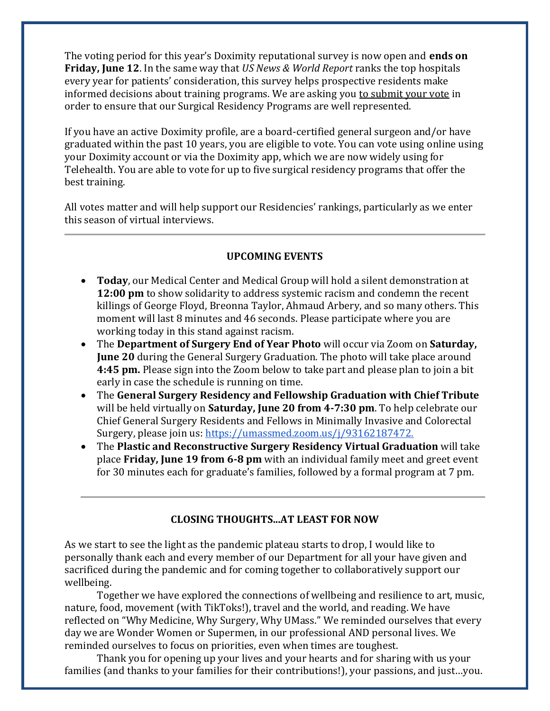The voting period for this year's Doximity reputational survey is now open and **ends on Friday, June 12**. In the same way that *US News & World Report* ranks the top hospitals every year for patients' consideration, this survey helps prospective residents make informed decisions about training programs. We are asking you to submit your vote in order to ensure that our Surgical Residency Programs are well represented.

If you have an active Doximity profile, are a board-certified general surgeon and/or have graduated within the past 10 years, you are eligible to vote. You can vote using online using your Doximity account or via the Doximity app, which we are now widely using for Telehealth. You are able to vote for up to five surgical residency programs that offer the best training.

All votes matter and will help support our Residencies' rankings, particularly as we enter this season of virtual interviews.

# **UPCOMING EVENTS**

- **Today**, our Medical Center and Medical Group will hold a silent demonstration at **12:00 pm** to show solidarity to address systemic racism and condemn the recent killings of George Floyd, Breonna Taylor, Ahmaud Arbery, and so many others. This moment will last 8 minutes and 46 seconds. Please participate where you are working today in this stand against racism.
- The **Department of Surgery End of Year Photo** will occur via Zoom on **Saturday, June 20** during the General Surgery Graduation. The photo will take place around **4:45 pm.** Please sign into the Zoom below to take part and please plan to join a bit early in case the schedule is running on time.
- The **General Surgery Residency and Fellowship Graduation with Chief Tribute** will be held virtually on **Saturday, June 20 from 4-7:30 pm**. To help celebrate our Chief General Surgery Residents and Fellows in Minimally Invasive and Colorectal Surgery, please join us: https://umassmed.zoom.us/j/93162187472.
- The **Plastic and Reconstructive Surgery Residency Virtual Graduation** will take place **Friday, June 19 from 6-8 pm** with an individual family meet and greet event for 30 minutes each for graduate's families, followed by a formal program at 7 pm.

#### **CLOSING THOUGHTS...AT LEAST FOR NOW**

As we start to see the light as the pandemic plateau starts to drop, I would like to personally thank each and every member of our Department for all your have given and sacrificed during the pandemic and for coming together to collaboratively support our wellbeing.

Together we have explored the connections of wellbeing and resilience to art, music, nature, food, movement (with TikToks!), travel and the world, and reading. We have reflected on "Why Medicine, Why Surgery, Why UMass." We reminded ourselves that every day we are Wonder Women or Supermen, in our professional AND personal lives. We reminded ourselves to focus on priorities, even when times are toughest.

Thank you for opening up your lives and your hearts and for sharing with us your families (and thanks to your families for their contributions!), your passions, and just…you.